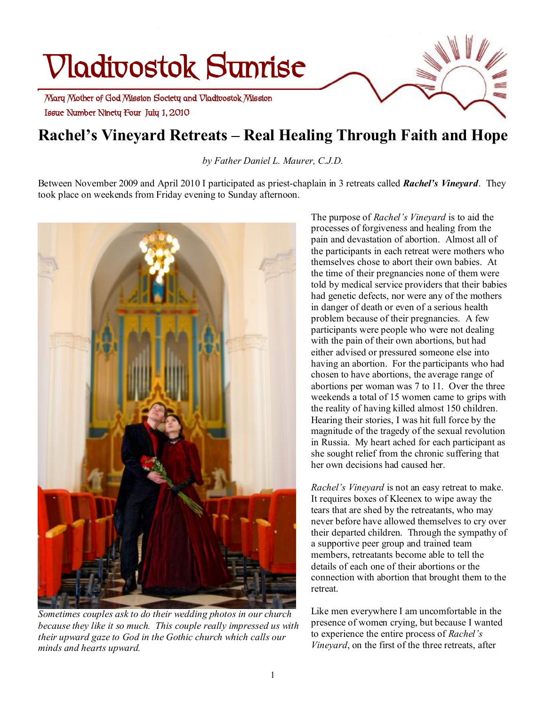# **Vladivostok Sunrise**

 **Issue Number Ninety Four July 1, 2010 Mary Mother of God Mission Society and Vladivostok Mission** 

# **Rachel's Vineyard Retreats – Real Healing Through Faith and Hope**

*by Father Daniel L. Maurer, C.J.D.* 

Between November 2009 and April 2010 I participated as priest-chaplain in 3 retreats called *Rachel's Vineyard*. They took place on weekends from Friday evening to Sunday afternoon.



*Sometimes couples ask to do their wedding photos in our church because they like it so much. This couple really impressed us with their upward gaze to God in the Gothic church which calls our minds and hearts upward.* 

The purpose of *Rachel's Vineyard* is to aid the processes of forgiveness and healing from the pain and devastation of abortion. Almost all of the participants in each retreat were mothers who themselves chose to abort their own babies. At the time of their pregnancies none of them were told by medical service providers that their babies had genetic defects, nor were any of the mothers in danger of death or even of a serious health problem because of their pregnancies. A few participants were people who were not dealing with the pain of their own abortions, but had either advised or pressured someone else into having an abortion. For the participants who had chosen to have abortions, the average range of abortions per woman was 7 to 11. Over the three weekends a total of 15 women came to grips with the reality of having killed almost 150 children. Hearing their stories, I was hit full force by the magnitude of the tragedy of the sexual revolution in Russia. My heart ached for each participant as she sought relief from the chronic suffering that her own decisions had caused her

*Rachel's Vineyard* is not an easy retreat to make. It requires boxes of Kleenex to wipe away the tears that are shed by the retreatants, who may never before have allowed themselves to cry over their departed children. Through the sympathy of a supportive peer group and trained team members, retreatants become able to tell the details of each one of their abortions or the connection with abortion that brought them to the retreat.

Like men everywhere I am uncomfortable in the presence of women crying, but because I wanted to experience the entire process of *Rachel's Vineyard*, on the first of the three retreats, after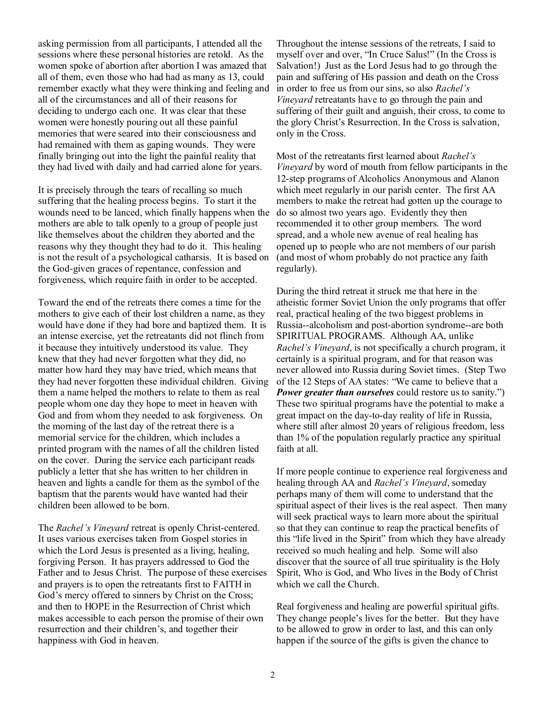asking permission from all participants, I attended all the sessions where these personal histories are retold. As the women spoke of abortion after abortion I was amazed that all of them, even those who had had as many as 13, could remember exactly what they were thinking and feeling and all of the circumstances and all of their reasons for deciding to undergo each one. It was clear that these women were honestly pouring out all these painful memories that were seared into their consciousness and had remained with them as gaping wounds. They were finally bringing out into the light the painful reality that they had lived with daily and had carried alone for years.

It is precisely through the tears of recalling so much suffering that the healing process begins. To start it the wounds need to be lanced, which finally happens when the mothers are able to talk openly to a group of people just like themselves about the children they aborted and the reasons why they thought they had to do it. This healing is not the result of a psychological catharsis. It is based on the God-given graces of repentance, confession and forgiveness, which require faith in order to be accepted.

Toward the end of the retreats there comes a time for the mothers to give each of their lost children a name, as they would have done if they had bore and baptized them. It is an intense exercise, yet the retreatants did not flinch from it because they intuitively understood its value. They knew that they had never forgotten what they did, no matter how hard they may have tried, which means that they had never forgotten these individual children. Giving them a name helped the mothers to relate to them as real people whom one day they hope to meet in heaven with God and from whom they needed to ask forgiveness. On the morning of the last day of the retreat there is a memorial service for the children, which includes a printed program with the names of all the children listed on the cover. During the service each participant reads publicly a letter that she has written to her children in heaven and lights a candle for them as the symbol of the baptism that the parents would have wanted had their children been allowed to be born.

The *Rachel's Vineyard* retreat is openly Christ-centered. It uses various exercises taken from Gospel stories in which the Lord Jesus is presented as a living, healing. forgiving Person. It has prayers addressed to God the Father and to Jesus Christ. The purpose of these exercises and prayers is to open the retreatants first to FAITH in God's mercy offered to sinners by Christ on the Cross; and then to HOPE in the Resurrection of Christ which makes accessible to each person the promise of their own resurrection and their children's, and together their happiness with God in heaven.

Throughout the intense sessions of the retreats, I said to myself over and over, "In Cruce Salus!" (In the Cross is Salvation!) Just as the Lord Jesus had to go through the pain and suffering of His passion and death on the Cross in order to free us from our sins, so also *Rachel's Vineyard* retreatants have to go through the pain and suffering of their guilt and anguish, their cross, to come to the glory Christ's Resurrection. In the Cross is salvation, only in the Cross.

Most of the retreatants first learned about *Rachel's Vineyard* by word of mouth from fellow participants in the 12-step programs of Alcoholics Anonymous and Alanon which meet regularly in our parish center. The first AA members to make the retreat had gotten up the courage to do so almost two years ago. Evidently they then recommended it to other group members. The word spread, and a whole new avenue of real healing has opened up to people who are not members of our parish (and most of whom probably do not practice any faith regularly).

During the third retreat it struck me that here in the atheistic former Soviet Union the only programs that offer real, practical healing of the two biggest problems in Russia--alcoholism and post-abortion syndrome--are both SPIRITUAL PROGRAMS. Although AA, unlike *Rachel's Vineyard*, is not specifically a church program, it certainly is a spiritual program, and for that reason was never allowed into Russia during Soviet times. (Step Two of the 12 Steps of AA states: "We came to believe that a *Power greater than ourselves* could restore us to sanity.") These two spiritual programs have the potential to make a great impact on the day-to-day reality of life in Russia, where still after almost 20 years of religious freedom, less than 1% of the population regularly practice any spiritual faith at all.

If more people continue to experience real forgiveness and healing through AA and *Rachel's Vineyard*, someday perhaps many of them will come to understand that the spiritual aspect of their lives is the real aspect. Then many will seek practical ways to learn more about the spiritual so that they can continue to reap the practical benefits of this "life lived in the Spirit" from which they have already received so much healing and help. Some will also discover that the source of all true spirituality is the Holy Spirit, Who is God, and Who lives in the Body of Christ which we call the Church.

Real forgiveness and healing are powerful spiritual gifts. They change people's lives for the better. But they have to be allowed to grow in order to last, and this can only happen if the source of the gifts is given the chance to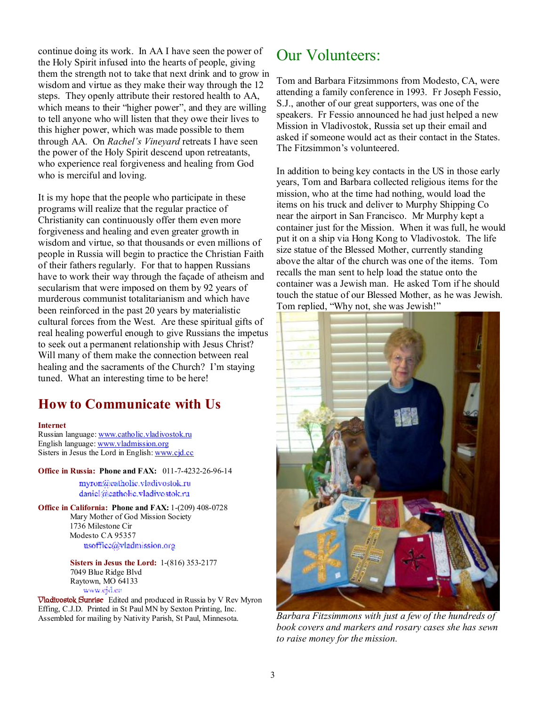continue doing its work. In AA I have seen the power of the Holy Spirit infused into the hearts of people, giving them the strength not to take that next drink and to grow in wisdom and virtue as they make their way through the 12 steps. They openly attribute their restored health to AA, which means to their "higher power", and they are willing to tell anyone who will listen that they owe their lives to this higher power, which was made possible to them through AA. On *Rachel's Vineyard* retreats I have seen the power of the Holy Spirit descend upon retreatants, who experience real forgiveness and healing from God who is merciful and loving.

It is my hope that the people who participate in these programs will realize that the regular practice of Christianity can continuously offer them even more forgiveness and healing and even greater growth in wisdom and virtue, so that thousands or even millions of people in Russia will begin to practice the Christian Faith of their fathers regularly. For that to happen Russians have to work their way through the façade of atheism and secularism that were imposed on them by 92 years of murderous communist totalitarianism and which have been reinforced in the past 20 years by materialistic cultural forces from the West. Are these spiritual gifts of real healing powerful enough to give Russians the impetus to seek out a permanent relationship with Jesus Christ? Will many of them make the connection between real healing and the sacraments of the Church? I'm staying tuned. What an interesting time to be here!

## **How to Communicate with Us**

#### **Internet**

Russian language: [www.catholic.vladivostok.ru](http://www.catholic.vladivostok.ru) English language: [www.vladmission.org](http://www.vladmission.org) Sisters in Jesus the Lord in English: [www.cjd.cc](http://www.cjd.cc)

**Office in Russia: Phone and FAX:** 011-7-4232-26-96-14

myron@catholic.vladivostok.ru daniel@eatholic.vladivostok.ru

**Office in California: Phone and FAX:** 1-(209) 408-0728 Mary Mother of God Mission Society 1736 Milestone Cir Modesto CA 95357 usoffice@vladmission.org

> **Sisters in Jesus the Lord:** 1-(816) 353-2177 7049 Blue Ridge Blvd Raytown, MO 64133

*Www.gra.en*<br> **Vladivostok Sunrise** Edited and produced in Russia by V Rev Myron Effing, C.J.D. Printed in St Paul MN by Sexton Printing, Inc. Assembled for mailing by Nativity Parish, St Paul, Minnesota.

## Our Volunteers:

Tom and Barbara Fitzsimmons from Modesto, CA, were attending a family conference in 1993. Fr Joseph Fessio, S.J., another of our great supporters, was one of the speakers. Fr Fessio announced he had just helped a new Mission in Vladivostok, Russia set up their email and asked if someone would act as their contact in the States. The Fitzsimmon's volunteered.

In addition to being key contacts in the US in those early years, Tom and Barbara collected religious items for the mission, who at the time had nothing, would load the items on his truck and deliver to Murphy Shipping Co near the airport in San Francisco. Mr Murphy kept a container just for the Mission. When it was full, he would put it on a ship via Hong Kong to Vladivostok. The life size statue of the Blessed Mother, currently standing above the altar of the church was one of the items. Tom recalls the man sent to help load the statue onto the container was a Jewish man. He asked Tom if he should touch the statue of our Blessed Mother, as he was Jewish. Tom replied, "Why not, she was Jewish!"



*Barbara Fitzsimmons with just a few of the hundreds of book covers and markers and rosary cases she has sewn to raise money for the mission.*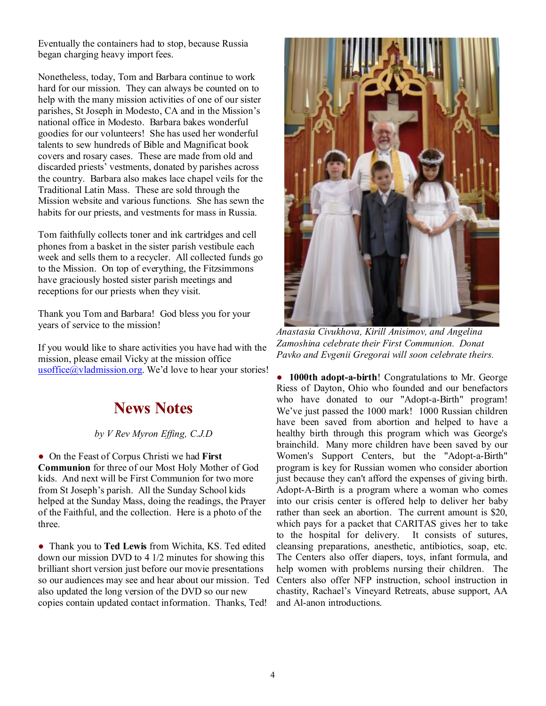Eventually the containers had to stop, because Russia began charging heavy import fees.

Nonetheless, today, Tom and Barbara continue to work hard for our mission. They can always be counted on to help with the many mission activities of one of our sister parishes, St Joseph in Modesto, CA and in the Mission's national office in Modesto. Barbara bakes wonderful goodies for our volunteers! She has used her wonderful talents to sew hundreds of Bible and Magnificat book covers and rosary cases. These are made from old and discarded priests' vestments, donated by parishes across the country. Barbara also makes lace chapel veils for the Traditional Latin Mass. These are sold through the Mission website and various functions. She has sewn the habits for our priests, and vestments for mass in Russia.

Tom faithfully collects toner and ink cartridges and cell phones from a basket in the sister parish vestibule each week and sells them to a recycler. All collected funds go to the Mission. On top of everything, the Fitzsimmons have graciously hosted sister parish meetings and receptions for our priests when they visit.

Thank you Tom and Barbara! God bless you for your years of service to the mission!

If you would like to share activities you have had with the mission, please email Vicky at the mission office usoffice $\overline{a}$  vladmission.org. We'd love to hear your stories!

## **News Notes**

## *by V Rev Myron Effing, C.J.D*

● On the Feast of Corpus Christi we had **First Communion** for three of our Most Holy Mother of God kids. And next will be First Communion for two more from St Joseph's parish. All the Sunday School kids helped at the Sunday Mass, doing the readings, the Prayer of the Faithful, and the collection. Here is a photo of the three.

● Thank you to **Ted Lewis** from Wichita, KS. Ted edited down our mission DVD to 4 1/2 minutes for showing this brilliant short version just before our movie presentations so our audiences may see and hear about our mission. Ted also updated the long version of the DVD so our new copies contain updated contact information. Thanks, Ted!



*Anastasia Civukhova, Kirill Anisimov, and Angelina Zamoshina celebrate their First Communion. Donat Pavko and Evgenii Gregorai will soon celebrate theirs.* 

● **1000th adopt-a-birth**! Congratulations to Mr. George Riess of Dayton, Ohio who founded and our benefactors who have donated to our "Adopt-a-Birth" program! We've just passed the 1000 mark! 1000 Russian children have been saved from abortion and helped to have a healthy birth through this program which was George's brainchild. Many more children have been saved by our Women's Support Centers, but the "Adopt-a-Birth" program is key for Russian women who consider abortion just because they can't afford the expenses of giving birth. Adopt-A-Birth is a program where a woman who comes into our crisis center is offered help to deliver her baby rather than seek an abortion. The current amount is \$20, which pays for a packet that CARITAS gives her to take to the hospital for delivery. It consists of sutures, cleansing preparations, anesthetic, antibiotics, soap, etc. The Centers also offer diapers, toys, infant formula, and help women with problems nursing their children. The Centers also offer NFP instruction, school instruction in chastity, Rachael's Vineyard Retreats, abuse support, AA and Al-anon introductions.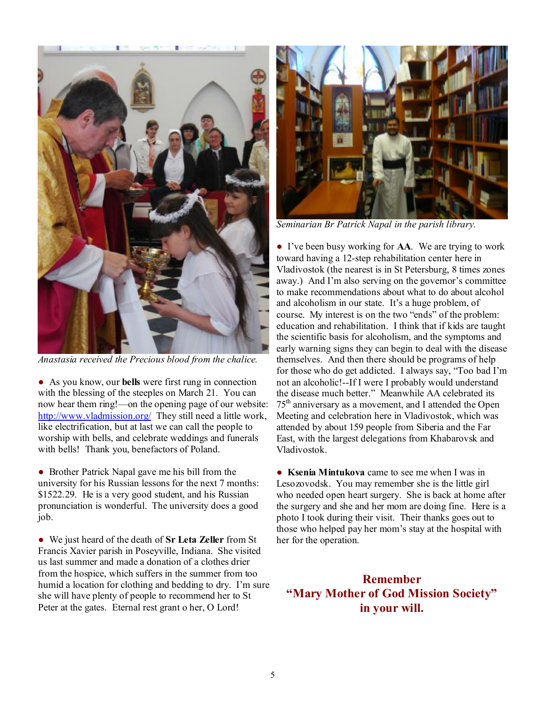

*Anastasia received the Precious blood from the chalice.* 

● As you know, our **bells** were first rung in connection with the blessing of the steeples on March 21. You can now hear them ring!—on the opening page of our website: <http://www.vladmission.org/> They still need a little work, like electrification, but at last we can call the people to worship with bells, and celebrate weddings and funerals with bells! Thank you, benefactors of Poland.

• Brother Patrick Napal gave me his bill from the university for his Russian lessons for the next 7 months: \$1522.29. He is a very good student, and his Russian pronunciation is wonderful. The university does a good job.

● We just heard of the death of **Sr Leta Zeller** from St Francis Xavier parish in Poseyville, Indiana. She visited us last summer and made a donation of a clothes drier from the hospice, which suffers in the summer from too humid a location for clothing and bedding to dry. I'm sure she will have plenty of people to recommend her to St Peter at the gates. Eternal rest grant o her, O Lord!



*Seminarian Br Patrick Napal in the parish library.* 

● I've been busy working for **AA**. We are trying to work toward having a 12-step rehabilitation center here in Vladivostok (the nearest is in St Petersburg, 8 times zones away.) And I'm also serving on the governor's committee to make recommendations about what to do about alcohol and alcoholism in our state. It's a huge problem, of course. My interest is on the two "ends" of the problem: education and rehabilitation. I think that if kids are taught the scientific basis for alcoholism, and the symptoms and early warning signs they can begin to deal with the disease themselves. And then there should be programs of help for those who do get addicted. I always say, "Too bad I'm not an alcoholic!--If I were I probably would understand the disease much better." Meanwhile AA celebrated its 75th anniversary as a movement, and I attended the Open Meeting and celebration here in Vladivostok, which was attended by about 159 people from Siberia and the Far East, with the largest delegations from Khabarovsk and Vladivostok.

● **Ksenia Mintukova** came to see me when I was in Lesozovodsk. You may remember she is the little girl who needed open heart surgery. She is back at home after the surgery and she and her mom are doing fine. Here is a photo I took during their visit. Their thanks goes out to those who helped pay her mom's stay at the hospital with her for the operation.

**Remember "Mary Mother of God Mission Society" in your will.**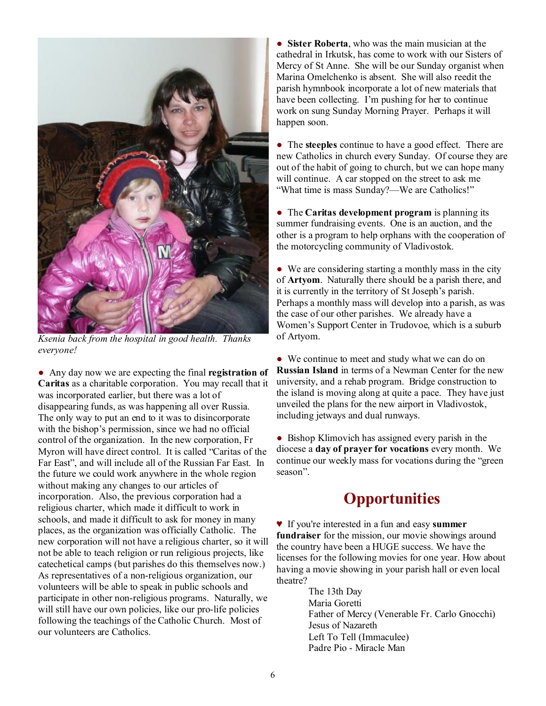

*Ksenia back from the hospital in good health. Thanks everyone!* 

● Any day now we are expecting the final **registration of Caritas** as a charitable corporation. You may recall that it was incorporated earlier, but there was a lot of disappearing funds, as was happening all over Russia. The only way to put an end to it was to disincorporate with the bishop's permission, since we had no official control of the organization. In the new corporation, Fr Myron will have direct control. It is called "Caritas of the Far East", and will include all of the Russian Far East. In the future we could work anywhere in the whole region without making any changes to our articles of incorporation. Also, the previous corporation had a religious charter, which made it difficult to work in schools, and made it difficult to ask for money in many places, as the organization was officially Catholic. The new corporation will not have a religious charter, so it will not be able to teach religion or run religious projects, like catechetical camps (but parishes do this themselves now.) As representatives of a non-religious organization, our volunteers will be able to speak in public schools and participate in other non-religious programs. Naturally, we will still have our own policies, like our pro-life policies following the teachings of the Catholic Church. Most of our volunteers are Catholics.

● **Sister Roberta**, who was the main musician at the cathedral in Irkutsk, has come to work with our Sisters of Mercy of St Anne. She will be our Sunday organist when Marina Omelchenko is absent. She will also reedit the parish hymnbook incorporate a lot of new materials that have been collecting. I'm pushing for her to continue work on sung Sunday Morning Prayer. Perhaps it will happen soon.

● The **steeples** continue to have a good effect. There are new Catholics in church every Sunday. Of course they are out of the habit of going to church, but we can hope many will continue. A car stopped on the street to ask me "What time is mass Sunday?—We are Catholics!"

● The **Caritas development program** is planning its summer fundraising events. One is an auction, and the other is a program to help orphans with the cooperation of the motorcycling community of Vladivostok.

• We are considering starting a monthly mass in the city of **Artyom**. Naturally there should be a parish there, and it is currently in the territory of St Joseph's parish. Perhaps a monthly mass will develop into a parish, as was the case of our other parishes. We already have a Women's Support Center in Trudovoe, which is a suburb of Artyom.

• We continue to meet and study what we can do on **Russian Island** in terms of a Newman Center for the new university, and a rehab program. Bridge construction to the island is moving along at quite a pace. They have just unveiled the plans for the new airport in Vladivostok, including jetways and dual runways.

• Bishop Klimovich has assigned every parish in the diocese a **day of prayer for vocations** every month. We continue our weekly mass for vocations during the "green season".

## **Opportunities**

♥ If you're interested in a fun and easy **summer fundraiser** for the mission, our movie showings around the country have been a HUGE success. We have the licenses for the following movies for one year. How about having a movie showing in your parish hall or even local theatre?

> The 13th Day Maria Goretti Father of Mercy (Venerable Fr. Carlo Gnocchi) Jesus of Nazareth Left To Tell (Immaculee) Padre Pio - Miracle Man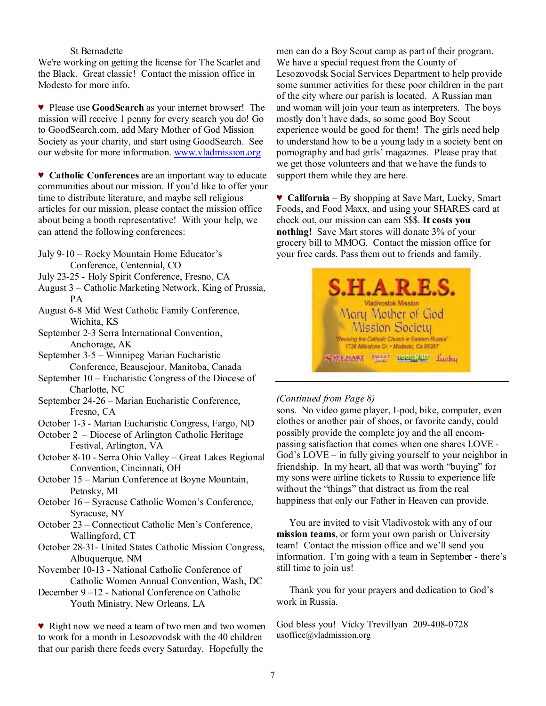#### St Bernadette

We're working on getting the license for The Scarlet and the Black. Great classic! Contact the mission office in Modesto for more info.

♥ Please use **GoodSearch** as your internet browser! The mission will receive 1 penny for every search you do! Go to GoodSearch.com, add Mary Mother of God Mission Society as your charity, and start using GoodSearch. See our website for more information. [www.vladmission.org](http://www.vladmission.org)

♥ **Catholic Conferences** are an important way to educate communities about our mission. If you'd like to offer your time to distribute literature, and maybe sell religious articles for our mission, please contact the mission office about being a booth representative! With your help, we can attend the following conferences:

- July 9-10 Rocky Mountain Home Educator's Conference, Centennial, CO
- July 23-25 Holy Spirit Conference, Fresno, CA
- August 3 Catholic Marketing Network, King of Prussia, PA
- August 6-8 Mid West Catholic Family Conference, Wichita, KS
- September 2-3 Serra International Convention, Anchorage, AK
- September 3-5 Winnipeg Marian Eucharistic Conference, Beausejour, Manitoba, Canada
- September 10 Eucharistic Congress of the Diocese of Charlotte, NC
- September 24-26 Marian Eucharistic Conference, Fresno, CA
- October 1-3 Marian Eucharistic Congress, Fargo, ND
- October 2 Diocese of Arlington Catholic Heritage Festival, Arlington, VA
- October 8-10 Serra Ohio Valley Great Lakes Regional Convention, Cincinnati, OH
- October 15 Marian Conference at Boyne Mountain, Petosky, MI
- October 16 Syracuse Catholic Women's Conference, Syracuse, NY
- October 23 Connecticut Catholic Men's Conference, Wallingford, CT
- October 28-31- United States Catholic Mission Congress, Albuquerque, NM
- November 10-13 National Catholic Conference of Catholic Women Annual Convention, Wash, DC
- December 9 –12 National Conference on Catholic Youth Ministry, New Orleans, LA

♥ Right now we need a team of two men and two women to work for a month in Lesozovodsk with the 40 children that our parish there feeds every Saturday. Hopefully the

men can do a Boy Scout camp as part of their program. We have a special request from the County of Lesozovodsk Social Services Department to help provide some summer activities for these poor children in the part of the city where our parish is located. A Russian man and woman will join your team as interpreters. The boys mostly don't have dads, so some good Boy Scout experience would be good for them! The girls need help to understand how to be a young lady in a society bent on pornography and bad girls' magazines. Please pray that we get those volunteers and that we have the funds to support them while they are here.

♥ **California** – By shopping at Save Mart, Lucky, Smart Foods, and Food Maxx, and using your SHARES card at check out, our mission can earn \$\$\$. **It costs you nothing!** Save Mart stores will donate 3% of your grocery bill to MMOG. Contact the mission office for your free cards. Pass them out to friends and family.



### *(Continued from Page 8)*

sons. No video game player, I-pod, bike, computer, even clothes or another pair of shoes, or favorite candy, could possibly provide the complete joy and the all encompassing satisfaction that comes when one shares LOVE - God's LOVE – in fully giving yourself to your neighbor in friendship. In my heart, all that was worth "buying" for my sons were airline tickets to Russia to experience life without the "things" that distract us from the real happiness that only our Father in Heaven can provide.

 You are invited to visit Vladivostok with any of our **mission teams**, or form your own parish or University team! Contact the mission office and we'll send you information. I'm going with a team in September - there's still time to join us!

 Thank you for your prayers and dedication to God's work in Russia.

God bless you! Vicky Trevillyan 209-408-0728 [usoffice@vladmission.org](mailto:usoffice@vladmission.org)